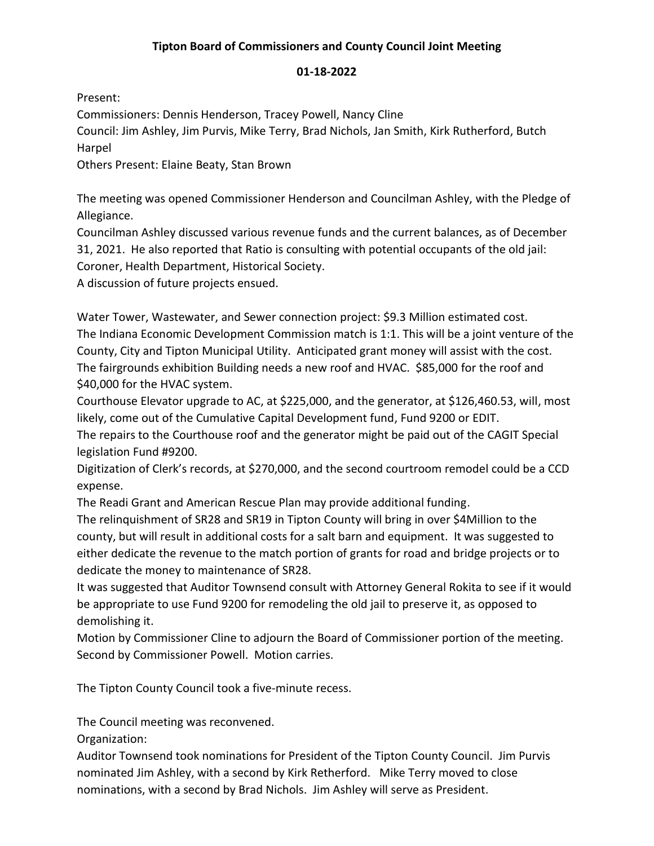## **Tipton Board of Commissioners and County Council Joint Meeting**

### **01-18-2022**

Present:

Commissioners: Dennis Henderson, Tracey Powell, Nancy Cline

Council: Jim Ashley, Jim Purvis, Mike Terry, Brad Nichols, Jan Smith, Kirk Rutherford, Butch Harpel

Others Present: Elaine Beaty, Stan Brown

The meeting was opened Commissioner Henderson and Councilman Ashley, with the Pledge of Allegiance.

Councilman Ashley discussed various revenue funds and the current balances, as of December 31, 2021. He also reported that Ratio is consulting with potential occupants of the old jail: Coroner, Health Department, Historical Society.

A discussion of future projects ensued.

Water Tower, Wastewater, and Sewer connection project: \$9.3 Million estimated cost. The Indiana Economic Development Commission match is 1:1. This will be a joint venture of the County, City and Tipton Municipal Utility. Anticipated grant money will assist with the cost. The fairgrounds exhibition Building needs a new roof and HVAC. \$85,000 for the roof and \$40,000 for the HVAC system.

Courthouse Elevator upgrade to AC, at \$225,000, and the generator, at \$126,460.53, will, most likely, come out of the Cumulative Capital Development fund, Fund 9200 or EDIT.

The repairs to the Courthouse roof and the generator might be paid out of the CAGIT Special legislation Fund #9200.

Digitization of Clerk's records, at \$270,000, and the second courtroom remodel could be a CCD expense.

The Readi Grant and American Rescue Plan may provide additional funding.

The relinquishment of SR28 and SR19 in Tipton County will bring in over \$4Million to the county, but will result in additional costs for a salt barn and equipment. It was suggested to either dedicate the revenue to the match portion of grants for road and bridge projects or to dedicate the money to maintenance of SR28.

It was suggested that Auditor Townsend consult with Attorney General Rokita to see if it would be appropriate to use Fund 9200 for remodeling the old jail to preserve it, as opposed to demolishing it.

Motion by Commissioner Cline to adjourn the Board of Commissioner portion of the meeting. Second by Commissioner Powell. Motion carries.

The Tipton County Council took a five-minute recess.

The Council meeting was reconvened.

Organization:

Auditor Townsend took nominations for President of the Tipton County Council. Jim Purvis nominated Jim Ashley, with a second by Kirk Retherford. Mike Terry moved to close nominations, with a second by Brad Nichols. Jim Ashley will serve as President.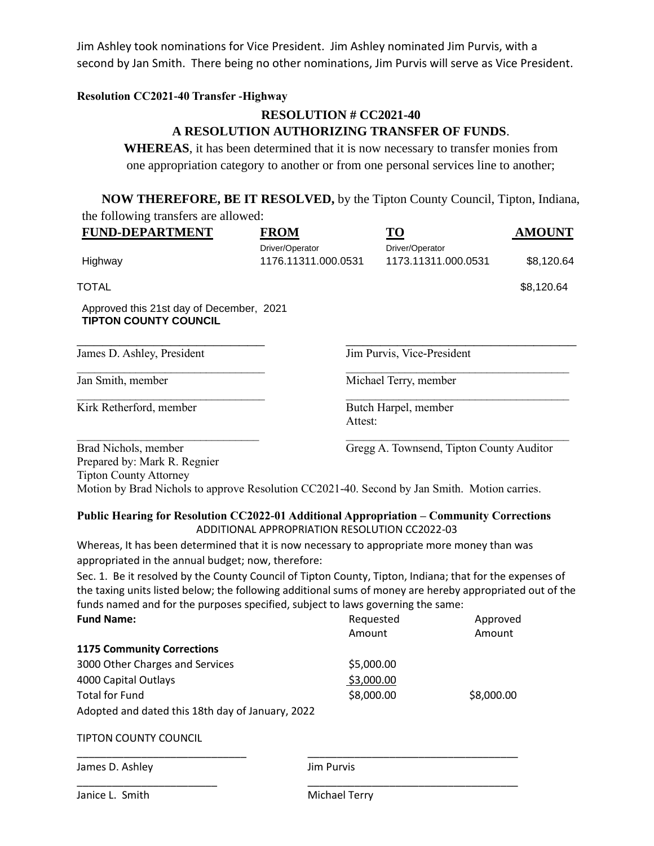Jim Ashley took nominations for Vice President. Jim Ashley nominated Jim Purvis, with a second by Jan Smith. There being no other nominations, Jim Purvis will serve as Vice President.

### **Resolution CC2021-40 Transfer -Highway**

### **RESOLUTION # CC2021-40**

### **A RESOLUTION AUTHORIZING TRANSFER OF FUNDS**.

**WHEREAS**, it has been determined that it is now necessary to transfer monies from one appropriation category to another or from one personal services line to another;

**NOW THEREFORE, BE IT RESOLVED,** by the Tipton County Council, Tipton, Indiana, the following transfers are allowed:

| <b>FUND-DEPARTMENT</b>                                                                                                                                                                | <b>FROM</b>         | TO                                            | <b>AMOUNT</b> |
|---------------------------------------------------------------------------------------------------------------------------------------------------------------------------------------|---------------------|-----------------------------------------------|---------------|
|                                                                                                                                                                                       | Driver/Operator     | Driver/Operator                               |               |
| Highway                                                                                                                                                                               | 1176.11311.000.0531 | 1173.11311.000.0531                           | \$8,120.64    |
| <b>TOTAL</b>                                                                                                                                                                          |                     |                                               | \$8,120.64    |
| Approved this 21st day of December, 2021<br><b>TIPTON COUNTY COUNCIL</b>                                                                                                              |                     |                                               |               |
| James D. Ashley, President                                                                                                                                                            |                     | Jim Purvis, Vice-President                    |               |
| Jan Smith, member                                                                                                                                                                     |                     | Michael Terry, member                         |               |
| Kirk Retherford, member                                                                                                                                                               |                     | Butch Harpel, member<br>Attest:               |               |
| Brad Nichols, member<br>Prepared by: Mark R. Regnier<br><b>Tipton County Attorney</b><br>Motion by Brad Nichols to approve Resolution CC2021-40. Second by Jan Smith. Motion carries. |                     | Gregg A. Townsend, Tipton County Auditor      |               |
| Public Hearing for Resolution CC2022-01 Additional Appropriation – Community Corrections                                                                                              |                     | ADDITIONAL APPROPRIATION RESOLUTION CC2022-03 |               |
| Whereas, It has been determined that it is now necessary to appropriate more money than was<br>appropriated in the annual budget; now, therefore:                                     |                     |                                               |               |
| Sec. 1. Be it resolved by the County Council of Tipton County, Tipton, Indiana; that for the expenses of                                                                              |                     |                                               |               |

the taxing units listed below; the following additional sums of money are hereby appropriated out of the funds named and for the purposes specified, subject to laws governing the same:

| <b>Fund Name:</b>                                | Requested         | Approved   |  |
|--------------------------------------------------|-------------------|------------|--|
|                                                  | Amount            | Amount     |  |
| <b>1175 Community Corrections</b>                |                   |            |  |
| 3000 Other Charges and Services                  | \$5,000.00        |            |  |
| 4000 Capital Outlays                             | \$3,000.00        |            |  |
| <b>Total for Fund</b>                            | \$8,000.00        | \$8,000.00 |  |
| Adopted and dated this 18th day of January, 2022 |                   |            |  |
| <b>TIPTON COUNTY COUNCIL</b>                     |                   |            |  |
| James D. Ashley                                  | <b>Jim Purvis</b> |            |  |
| Janice L. Smith                                  | Michael Terry     |            |  |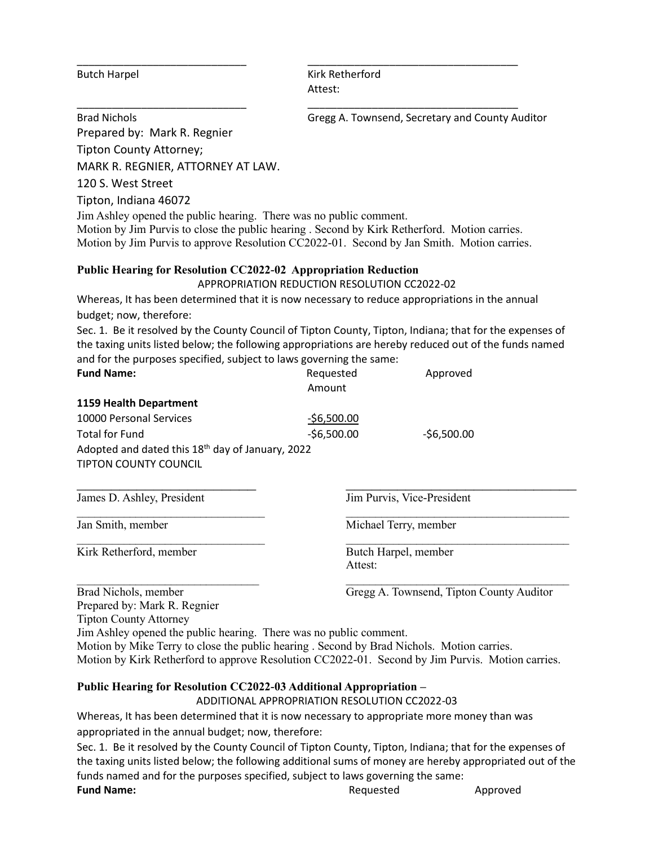Butch Harpel **Kirk Retherford** Attest:

\_\_\_\_\_\_\_\_\_\_\_\_\_\_\_\_\_\_\_\_\_\_\_\_\_\_\_\_\_ \_\_\_\_\_\_\_\_\_\_\_\_\_\_\_\_\_\_\_\_\_\_\_\_\_\_\_\_\_\_\_\_\_\_\_\_

Brad Nichols **Gregg A. Townsend, Secretary and County Auditor** 

Prepared by: Mark R. Regnier

Tipton County Attorney;

MARK R. REGNIER, ATTORNEY AT LAW.

120 S. West Street

Tipton, Indiana 46072

Jim Ashley opened the public hearing. There was no public comment.

Motion by Jim Purvis to close the public hearing . Second by Kirk Retherford. Motion carries. Motion by Jim Purvis to approve Resolution CC2022-01. Second by Jan Smith. Motion carries.

\_\_\_\_\_\_\_\_\_\_\_\_\_\_\_\_\_\_\_\_\_\_\_\_\_\_\_\_\_ \_\_\_\_\_\_\_\_\_\_\_\_\_\_\_\_\_\_\_\_\_\_\_\_\_\_\_\_\_\_\_\_\_\_\_\_

# **Public Hearing for Resolution CC2022-02 Appropriation Reduction**

APPROPRIATION REDUCTION RESOLUTION CC2022-02

Whereas, It has been determined that it is now necessary to reduce appropriations in the annual budget; now, therefore:

Sec. 1. Be it resolved by the County Council of Tipton County, Tipton, Indiana; that for the expenses of the taxing units listed below; the following appropriations are hereby reduced out of the funds named and for the purposes specified, subject to laws governing the same:

| <b>Fund Name:</b>                                            | Requested<br>Amount | Approved                                 |  |  |
|--------------------------------------------------------------|---------------------|------------------------------------------|--|--|
| 1159 Health Department                                       |                     |                                          |  |  |
| 10000 Personal Services                                      | $-56,500.00$        |                                          |  |  |
| <b>Total for Fund</b>                                        | $-56,500.00$        | $-56,500.00$                             |  |  |
| Adopted and dated this 18 <sup>th</sup> day of January, 2022 |                     |                                          |  |  |
| <b>TIPTON COUNTY COUNCIL</b>                                 |                     |                                          |  |  |
|                                                              |                     |                                          |  |  |
| James D. Ashley, President                                   |                     | Jim Purvis, Vice-President               |  |  |
| Jan Smith, member                                            |                     | Michael Terry, member                    |  |  |
| Kirk Retherford, member                                      |                     | Butch Harpel, member                     |  |  |
|                                                              | Attest:             |                                          |  |  |
| Brad Nichols, member                                         |                     | Gregg A. Townsend, Tipton County Auditor |  |  |

Prepared by: Mark R. Regnier

Tipton County Attorney

Jim Ashley opened the public hearing. There was no public comment.

Motion by Mike Terry to close the public hearing . Second by Brad Nichols. Motion carries. Motion by Kirk Retherford to approve Resolution CC2022-01. Second by Jim Purvis. Motion carries.

## **Public Hearing for Resolution CC2022-03 Additional Appropriation –**

ADDITIONAL APPROPRIATION RESOLUTION CC2022-03

Whereas, It has been determined that it is now necessary to appropriate more money than was appropriated in the annual budget; now, therefore:

Sec. 1. Be it resolved by the County Council of Tipton County, Tipton, Indiana; that for the expenses of the taxing units listed below; the following additional sums of money are hereby appropriated out of the funds named and for the purposes specified, subject to laws governing the same:

**Fund Name: Approved Requested Approved Approved**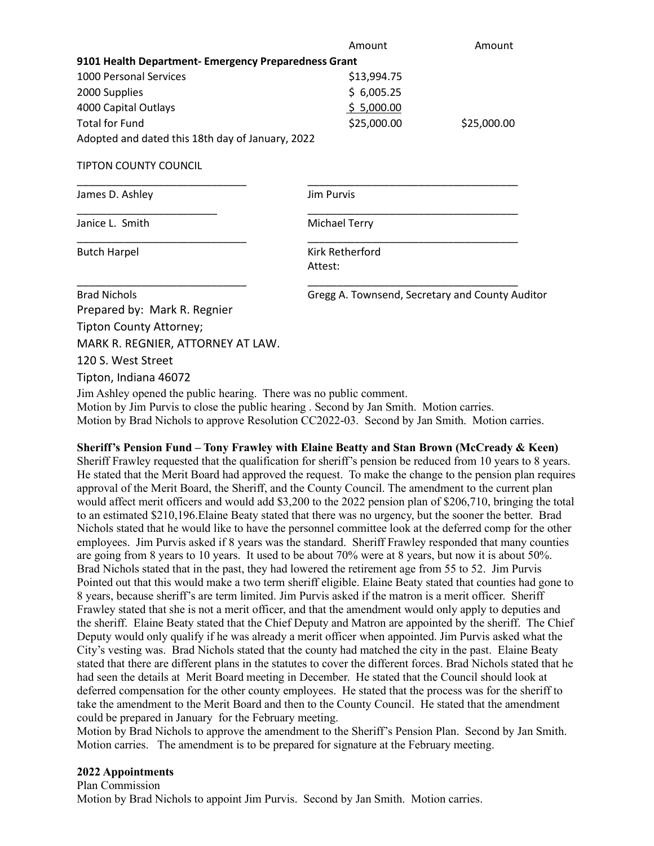|                                                      | Amount                                          | Amount      |  |  |
|------------------------------------------------------|-------------------------------------------------|-------------|--|--|
| 9101 Health Department- Emergency Preparedness Grant |                                                 |             |  |  |
| <b>1000 Personal Services</b>                        | \$13,994.75                                     |             |  |  |
| 2000 Supplies                                        | \$6,005.25                                      |             |  |  |
| 4000 Capital Outlays                                 | \$5,000.00                                      |             |  |  |
| <b>Total for Fund</b>                                | \$25,000.00                                     | \$25,000.00 |  |  |
| Adopted and dated this 18th day of January, 2022     |                                                 |             |  |  |
| <b>TIPTON COUNTY COUNCIL</b>                         |                                                 |             |  |  |
| James D. Ashley                                      | <b>Jim Purvis</b>                               |             |  |  |
| Janice L. Smith                                      | <b>Michael Terry</b>                            |             |  |  |
| <b>Butch Harpel</b>                                  | Kirk Retherford                                 |             |  |  |
|                                                      | Attest:                                         |             |  |  |
| <b>Brad Nichols</b>                                  | Gregg A. Townsend, Secretary and County Auditor |             |  |  |
| Prepared by: Mark R. Regnier                         |                                                 |             |  |  |
| Tipton County Attorney;                              |                                                 |             |  |  |
| MARK R. REGNIER, ATTORNEY AT LAW.                    |                                                 |             |  |  |
| 120 S. West Street                                   |                                                 |             |  |  |
| Tipton, Indiana 46072                                |                                                 |             |  |  |

Jim Ashley opened the public hearing. There was no public comment. Motion by Jim Purvis to close the public hearing . Second by Jan Smith. Motion carries. Motion by Brad Nichols to approve Resolution CC2022-03. Second by Jan Smith. Motion carries.

### **Sheriff's Pension Fund – Tony Frawley with Elaine Beatty and Stan Brown (McCready & Keen)**

Sheriff Frawley requested that the qualification for sheriff's pension be reduced from 10 years to 8 years. He stated that the Merit Board had approved the request. To make the change to the pension plan requires approval of the Merit Board, the Sheriff, and the County Council. The amendment to the current plan would affect merit officers and would add \$3,200 to the 2022 pension plan of \$206,710, bringing the total to an estimated \$210,196.Elaine Beaty stated that there was no urgency, but the sooner the better. Brad Nichols stated that he would like to have the personnel committee look at the deferred comp for the other employees. Jim Purvis asked if 8 years was the standard. Sheriff Frawley responded that many counties are going from 8 years to 10 years. It used to be about 70% were at 8 years, but now it is about 50%. Brad Nichols stated that in the past, they had lowered the retirement age from 55 to 52. Jim Purvis Pointed out that this would make a two term sheriff eligible. Elaine Beaty stated that counties had gone to 8 years, because sheriff's are term limited. Jim Purvis asked if the matron is a merit officer. Sheriff Frawley stated that she is not a merit officer, and that the amendment would only apply to deputies and the sheriff. Elaine Beaty stated that the Chief Deputy and Matron are appointed by the sheriff. The Chief Deputy would only qualify if he was already a merit officer when appointed. Jim Purvis asked what the City's vesting was. Brad Nichols stated that the county had matched the city in the past. Elaine Beaty stated that there are different plans in the statutes to cover the different forces. Brad Nichols stated that he had seen the details at Merit Board meeting in December. He stated that the Council should look at deferred compensation for the other county employees. He stated that the process was for the sheriff to take the amendment to the Merit Board and then to the County Council. He stated that the amendment could be prepared in January for the February meeting.

Motion by Brad Nichols to approve the amendment to the Sheriff's Pension Plan. Second by Jan Smith. Motion carries. The amendment is to be prepared for signature at the February meeting.

#### **2022 Appointments**

Plan Commission Motion by Brad Nichols to appoint Jim Purvis. Second by Jan Smith. Motion carries.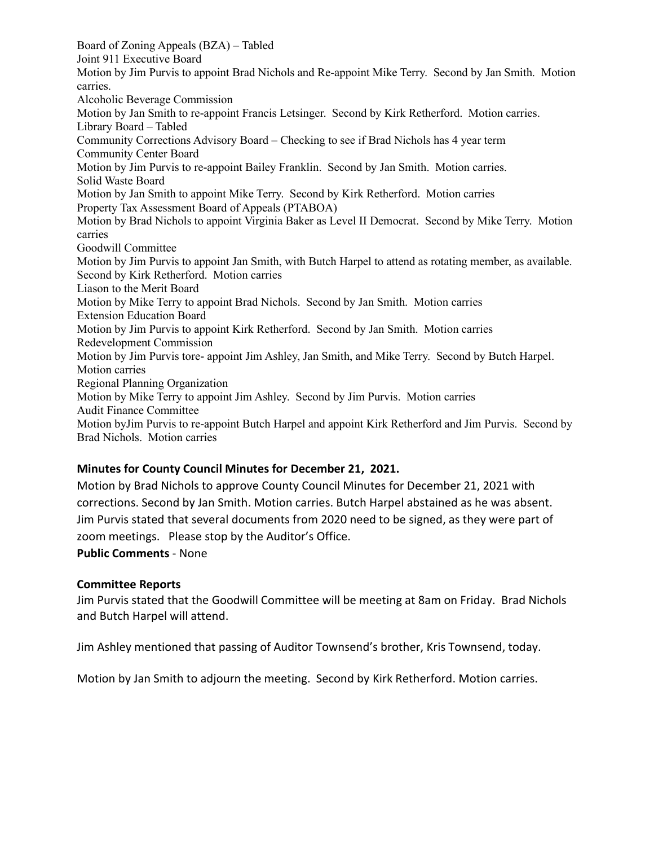Board of Zoning Appeals (BZA) – Tabled Joint 911 Executive Board Motion by Jim Purvis to appoint Brad Nichols and Re-appoint Mike Terry. Second by Jan Smith. Motion carries. Alcoholic Beverage Commission Motion by Jan Smith to re-appoint Francis Letsinger. Second by Kirk Retherford. Motion carries. Library Board – Tabled Community Corrections Advisory Board – Checking to see if Brad Nichols has 4 year term Community Center Board Motion by Jim Purvis to re-appoint Bailey Franklin. Second by Jan Smith. Motion carries. Solid Waste Board Motion by Jan Smith to appoint Mike Terry. Second by Kirk Retherford. Motion carries Property Tax Assessment Board of Appeals (PTABOA) Motion by Brad Nichols to appoint Virginia Baker as Level II Democrat. Second by Mike Terry. Motion carries Goodwill Committee Motion by Jim Purvis to appoint Jan Smith, with Butch Harpel to attend as rotating member, as available. Second by Kirk Retherford. Motion carries Liason to the Merit Board Motion by Mike Terry to appoint Brad Nichols. Second by Jan Smith. Motion carries Extension Education Board Motion by Jim Purvis to appoint Kirk Retherford. Second by Jan Smith. Motion carries Redevelopment Commission Motion by Jim Purvis tore- appoint Jim Ashley, Jan Smith, and Mike Terry. Second by Butch Harpel. Motion carries Regional Planning Organization Motion by Mike Terry to appoint Jim Ashley. Second by Jim Purvis. Motion carries Audit Finance Committee Motion byJim Purvis to re-appoint Butch Harpel and appoint Kirk Retherford and Jim Purvis. Second by Brad Nichols. Motion carries

### **Minutes for County Council Minutes for December 21, 2021.**

Motion by Brad Nichols to approve County Council Minutes for December 21, 2021 with corrections. Second by Jan Smith. Motion carries. Butch Harpel abstained as he was absent. Jim Purvis stated that several documents from 2020 need to be signed, as they were part of zoom meetings. Please stop by the Auditor's Office.

**Public Comments** - None

### **Committee Reports**

Jim Purvis stated that the Goodwill Committee will be meeting at 8am on Friday. Brad Nichols and Butch Harpel will attend.

Jim Ashley mentioned that passing of Auditor Townsend's brother, Kris Townsend, today.

Motion by Jan Smith to adjourn the meeting. Second by Kirk Retherford. Motion carries.